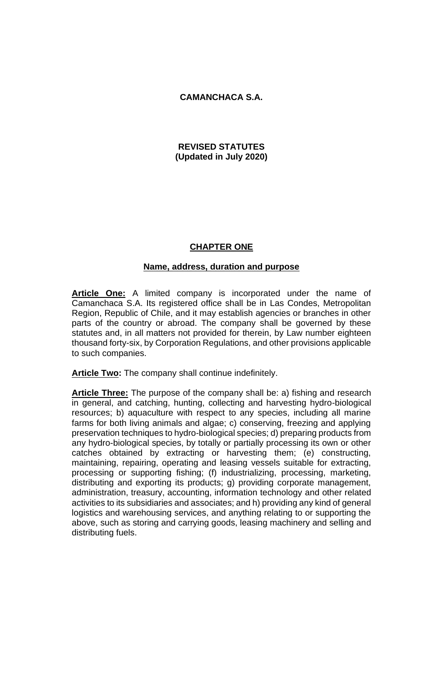# **CAMANCHACA S.A.**

# **REVISED STATUTES (Updated in July 2020)**

# **CHAPTER ONE**

# **Name, address, duration and purpose**

**Article One:** A limited company is incorporated under the name of Camanchaca S.A. Its registered office shall be in Las Condes, Metropolitan Region, Republic of Chile, and it may establish agencies or branches in other parts of the country or abroad. The company shall be governed by these statutes and, in all matters not provided for therein, by Law number eighteen thousand forty-six, by Corporation Regulations, and other provisions applicable to such companies.

**Article Two:** The company shall continue indefinitely.

**Article Three:** The purpose of the company shall be: a) fishing and research in general, and catching, hunting, collecting and harvesting hydro-biological resources; b) aquaculture with respect to any species, including all marine farms for both living animals and algae; c) conserving, freezing and applying preservation techniques to hydro-biological species; d) preparing products from any hydro-biological species, by totally or partially processing its own or other catches obtained by extracting or harvesting them; (e) constructing, maintaining, repairing, operating and leasing vessels suitable for extracting, processing or supporting fishing; (f) industrializing, processing, marketing, distributing and exporting its products; g) providing corporate management, administration, treasury, accounting, information technology and other related activities to its subsidiaries and associates; and h) providing any kind of general logistics and warehousing services, and anything relating to or supporting the above, such as storing and carrying goods, leasing machinery and selling and distributing fuels.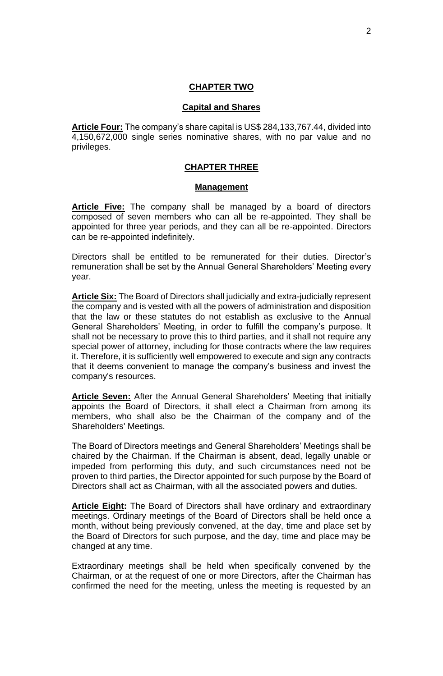## **CHAPTER TWO**

## **Capital and Shares**

**Article Four:** The company's share capital is US\$ 284,133,767.44, divided into 4,150,672,000 single series nominative shares, with no par value and no privileges.

## **CHAPTER THREE**

#### **Management**

**Article Five:** The company shall be managed by a board of directors composed of seven members who can all be re-appointed. They shall be appointed for three year periods, and they can all be re-appointed. Directors can be re-appointed indefinitely.

Directors shall be entitled to be remunerated for their duties. Director's remuneration shall be set by the Annual General Shareholders' Meeting every year.

**Article Six:** The Board of Directors shall judicially and extra-judicially represent the company and is vested with all the powers of administration and disposition that the law or these statutes do not establish as exclusive to the Annual General Shareholders' Meeting, in order to fulfill the company's purpose. It shall not be necessary to prove this to third parties, and it shall not require any special power of attorney, including for those contracts where the law requires it. Therefore, it is sufficiently well empowered to execute and sign any contracts that it deems convenient to manage the company's business and invest the company's resources.

**Article Seven:** After the Annual General Shareholders' Meeting that initially appoints the Board of Directors, it shall elect a Chairman from among its members, who shall also be the Chairman of the company and of the Shareholders' Meetings.

The Board of Directors meetings and General Shareholders' Meetings shall be chaired by the Chairman. If the Chairman is absent, dead, legally unable or impeded from performing this duty, and such circumstances need not be proven to third parties, the Director appointed for such purpose by the Board of Directors shall act as Chairman, with all the associated powers and duties.

**Article Eight:** The Board of Directors shall have ordinary and extraordinary meetings. Ordinary meetings of the Board of Directors shall be held once a month, without being previously convened, at the day, time and place set by the Board of Directors for such purpose, and the day, time and place may be changed at any time.

Extraordinary meetings shall be held when specifically convened by the Chairman, or at the request of one or more Directors, after the Chairman has confirmed the need for the meeting, unless the meeting is requested by an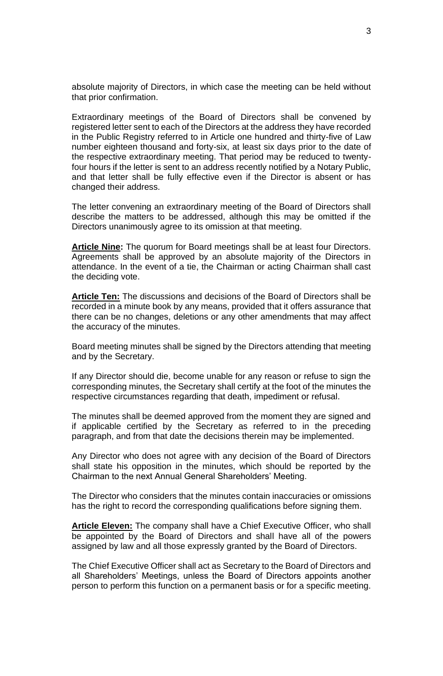absolute majority of Directors, in which case the meeting can be held without that prior confirmation.

Extraordinary meetings of the Board of Directors shall be convened by registered letter sent to each of the Directors at the address they have recorded in the Public Registry referred to in Article one hundred and thirty-five of Law number eighteen thousand and forty-six, at least six days prior to the date of the respective extraordinary meeting. That period may be reduced to twentyfour hours if the letter is sent to an address recently notified by a Notary Public, and that letter shall be fully effective even if the Director is absent or has changed their address.

The letter convening an extraordinary meeting of the Board of Directors shall describe the matters to be addressed, although this may be omitted if the Directors unanimously agree to its omission at that meeting.

**Article Nine:** The quorum for Board meetings shall be at least four Directors. Agreements shall be approved by an absolute majority of the Directors in attendance. In the event of a tie, the Chairman or acting Chairman shall cast the deciding vote.

**Article Ten:** The discussions and decisions of the Board of Directors shall be recorded in a minute book by any means, provided that it offers assurance that there can be no changes, deletions or any other amendments that may affect the accuracy of the minutes.

Board meeting minutes shall be signed by the Directors attending that meeting and by the Secretary.

If any Director should die, become unable for any reason or refuse to sign the corresponding minutes, the Secretary shall certify at the foot of the minutes the respective circumstances regarding that death, impediment or refusal.

The minutes shall be deemed approved from the moment they are signed and if applicable certified by the Secretary as referred to in the preceding paragraph, and from that date the decisions therein may be implemented.

Any Director who does not agree with any decision of the Board of Directors shall state his opposition in the minutes, which should be reported by the Chairman to the next Annual General Shareholders' Meeting.

The Director who considers that the minutes contain inaccuracies or omissions has the right to record the corresponding qualifications before signing them.

**Article Eleven:** The company shall have a Chief Executive Officer, who shall be appointed by the Board of Directors and shall have all of the powers assigned by law and all those expressly granted by the Board of Directors.

The Chief Executive Officer shall act as Secretary to the Board of Directors and all Shareholders' Meetings, unless the Board of Directors appoints another person to perform this function on a permanent basis or for a specific meeting.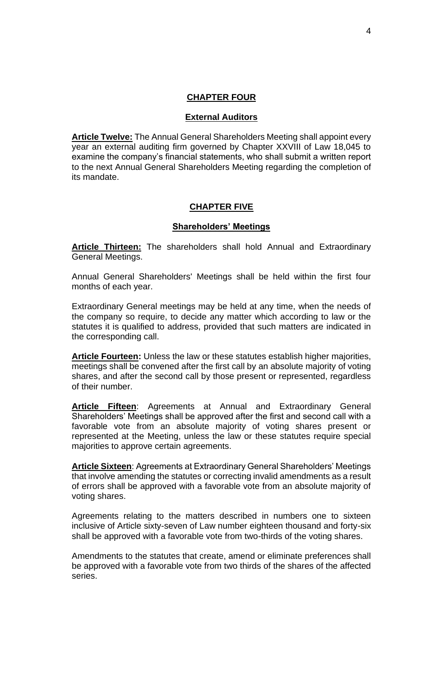## **CHAPTER FOUR**

#### **External Auditors**

**Article Twelve:** The Annual General Shareholders Meeting shall appoint every year an external auditing firm governed by Chapter XXVIII of Law 18,045 to examine the company's financial statements, who shall submit a written report to the next Annual General Shareholders Meeting regarding the completion of its mandate.

## **CHAPTER FIVE**

## **Shareholders' Meetings**

**Article Thirteen:** The shareholders shall hold Annual and Extraordinary General Meetings.

Annual General Shareholders' Meetings shall be held within the first four months of each year.

Extraordinary General meetings may be held at any time, when the needs of the company so require, to decide any matter which according to law or the statutes it is qualified to address, provided that such matters are indicated in the corresponding call.

**Article Fourteen:** Unless the law or these statutes establish higher majorities, meetings shall be convened after the first call by an absolute majority of voting shares, and after the second call by those present or represented, regardless of their number.

**Article Fifteen**: Agreements at Annual and Extraordinary General Shareholders' Meetings shall be approved after the first and second call with a favorable vote from an absolute majority of voting shares present or represented at the Meeting, unless the law or these statutes require special majorities to approve certain agreements.

**Article Sixteen**: Agreements at Extraordinary General Shareholders' Meetings that involve amending the statutes or correcting invalid amendments as a result of errors shall be approved with a favorable vote from an absolute majority of voting shares.

Agreements relating to the matters described in numbers one to sixteen inclusive of Article sixty-seven of Law number eighteen thousand and forty-six shall be approved with a favorable vote from two-thirds of the voting shares.

Amendments to the statutes that create, amend or eliminate preferences shall be approved with a favorable vote from two thirds of the shares of the affected series.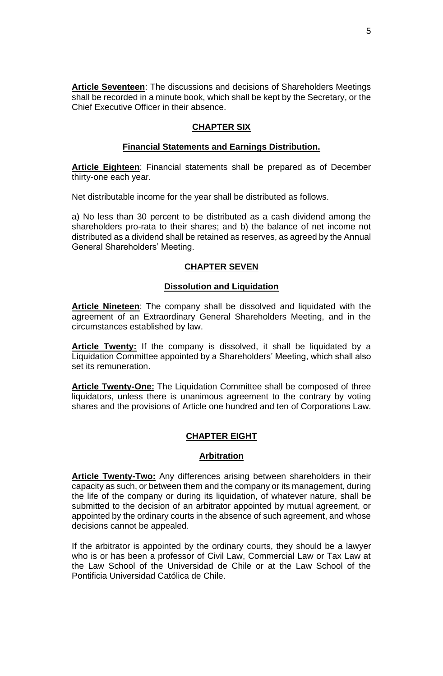**Article Seventeen**: The discussions and decisions of Shareholders Meetings shall be recorded in a minute book, which shall be kept by the Secretary, or the Chief Executive Officer in their absence.

# **CHAPTER SIX**

## **Financial Statements and Earnings Distribution.**

**Article Eighteen**: Financial statements shall be prepared as of December thirty-one each year.

Net distributable income for the year shall be distributed as follows.

a) No less than 30 percent to be distributed as a cash dividend among the shareholders pro-rata to their shares; and b) the balance of net income not distributed as a dividend shall be retained as reserves, as agreed by the Annual General Shareholders' Meeting.

## **CHAPTER SEVEN**

## **Dissolution and Liquidation**

**Article Nineteen**: The company shall be dissolved and liquidated with the agreement of an Extraordinary General Shareholders Meeting, and in the circumstances established by law.

Article Twenty: If the company is dissolved, it shall be liquidated by a Liquidation Committee appointed by a Shareholders' Meeting, which shall also set its remuneration.

**Article Twenty-One:** The Liquidation Committee shall be composed of three liquidators, unless there is unanimous agreement to the contrary by voting shares and the provisions of Article one hundred and ten of Corporations Law.

## **CHAPTER EIGHT**

#### **Arbitration**

**Article Twenty-Two:** Any differences arising between shareholders in their capacity as such, or between them and the company or its management, during the life of the company or during its liquidation, of whatever nature, shall be submitted to the decision of an arbitrator appointed by mutual agreement, or appointed by the ordinary courts in the absence of such agreement, and whose decisions cannot be appealed.

If the arbitrator is appointed by the ordinary courts, they should be a lawyer who is or has been a professor of Civil Law, Commercial Law or Tax Law at the Law School of the Universidad de Chile or at the Law School of the Pontificia Universidad Católica de Chile.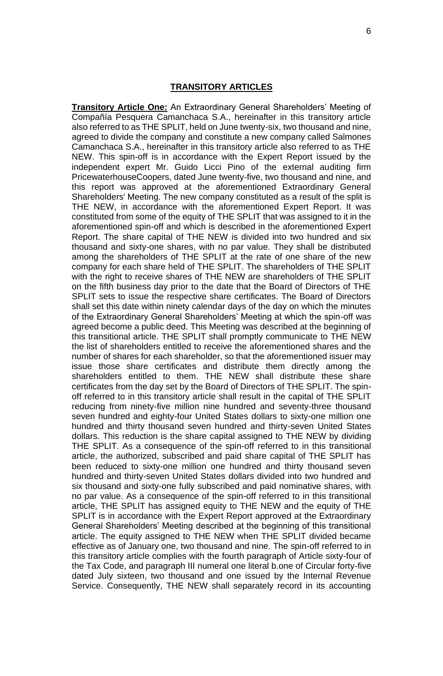#### **TRANSITORY ARTICLES**

**Transitory Article One:** An Extraordinary General Shareholders' Meeting of Compañía Pesquera Camanchaca S.A., hereinafter in this transitory article also referred to as THE SPLIT, held on June twenty-six, two thousand and nine, agreed to divide the company and constitute a new company called Salmones Camanchaca S.A., hereinafter in this transitory article also referred to as THE NEW. This spin-off is in accordance with the Expert Report issued by the independent expert Mr. Guido Licci Pino of the external auditing firm PricewaterhouseCoopers, dated June twenty-five, two thousand and nine, and this report was approved at the aforementioned Extraordinary General Shareholders' Meeting. The new company constituted as a result of the split is THE NEW, in accordance with the aforementioned Expert Report. It was constituted from some of the equity of THE SPLIT that was assigned to it in the aforementioned spin-off and which is described in the aforementioned Expert Report. The share capital of THE NEW is divided into two hundred and six thousand and sixty-one shares, with no par value. They shall be distributed among the shareholders of THE SPLIT at the rate of one share of the new company for each share held of THE SPLIT. The shareholders of THE SPLIT with the right to receive shares of THE NEW are shareholders of THE SPLIT on the fifth business day prior to the date that the Board of Directors of THE SPLIT sets to issue the respective share certificates. The Board of Directors shall set this date within ninety calendar days of the day on which the minutes of the Extraordinary General Shareholders' Meeting at which the spin-off was agreed become a public deed. This Meeting was described at the beginning of this transitional article. THE SPLIT shall promptly communicate to THE NEW the list of shareholders entitled to receive the aforementioned shares and the number of shares for each shareholder, so that the aforementioned issuer may issue those share certificates and distribute them directly among the shareholders entitled to them. THE NEW shall distribute these share certificates from the day set by the Board of Directors of THE SPLIT. The spinoff referred to in this transitory article shall result in the capital of THE SPLIT reducing from ninety-five million nine hundred and seventy-three thousand seven hundred and eighty-four United States dollars to sixty-one million one hundred and thirty thousand seven hundred and thirty-seven United States dollars. This reduction is the share capital assigned to THE NEW by dividing THE SPLIT. As a consequence of the spin-off referred to in this transitional article, the authorized, subscribed and paid share capital of THE SPLIT has been reduced to sixty-one million one hundred and thirty thousand seven hundred and thirty-seven United States dollars divided into two hundred and six thousand and sixty-one fully subscribed and paid nominative shares, with no par value. As a consequence of the spin-off referred to in this transitional article, THE SPLIT has assigned equity to THE NEW and the equity of THE SPLIT is in accordance with the Expert Report approved at the Extraordinary General Shareholders' Meeting described at the beginning of this transitional article. The equity assigned to THE NEW when THE SPLIT divided became effective as of January one, two thousand and nine. The spin-off referred to in this transitory article complies with the fourth paragraph of Article sixty-four of the Tax Code, and paragraph III numeral one literal b.one of Circular forty-five dated July sixteen, two thousand and one issued by the Internal Revenue Service. Consequently, THE NEW shall separately record in its accounting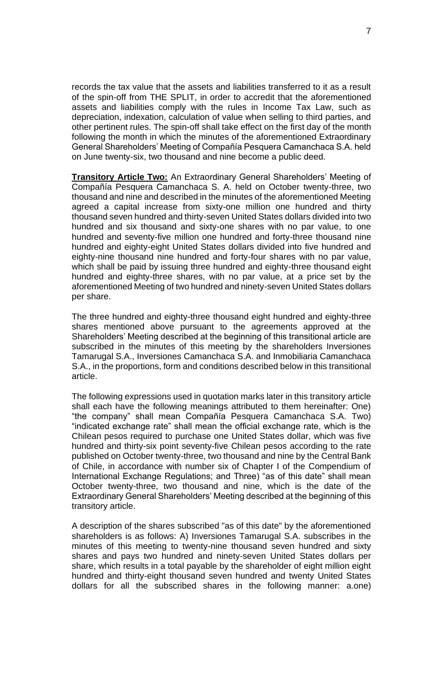records the tax value that the assets and liabilities transferred to it as a result of the spin-off from THE SPLIT, in order to accredit that the aforementioned assets and liabilities comply with the rules in Income Tax Law, such as depreciation, indexation, calculation of value when selling to third parties, and other pertinent rules. The spin-off shall take effect on the first day of the month following the month in which the minutes of the aforementioned Extraordinary General Shareholders' Meeting of Compañía Pesquera Camanchaca S.A. held on June twenty-six, two thousand and nine become a public deed.

**Transitory Article Two:** An Extraordinary General Shareholders' Meeting of Compañía Pesquera Camanchaca S. A. held on October twenty-three, two thousand and nine and described in the minutes of the aforementioned Meeting agreed a capital increase from sixty-one million one hundred and thirty thousand seven hundred and thirty-seven United States dollars divided into two hundred and six thousand and sixty-one shares with no par value, to one hundred and seventy-five million one hundred and forty-three thousand nine hundred and eighty-eight United States dollars divided into five hundred and eighty-nine thousand nine hundred and forty-four shares with no par value, which shall be paid by issuing three hundred and eighty-three thousand eight hundred and eighty-three shares, with no par value, at a price set by the aforementioned Meeting of two hundred and ninety-seven United States dollars per share.

The three hundred and eighty-three thousand eight hundred and eighty-three shares mentioned above pursuant to the agreements approved at the Shareholders' Meeting described at the beginning of this transitional article are subscribed in the minutes of this meeting by the shareholders Inversiones Tamarugal S.A., Inversiones Camanchaca S.A. and Inmobiliaria Camanchaca S.A., in the proportions, form and conditions described below in this transitional article.

The following expressions used in quotation marks later in this transitory article shall each have the following meanings attributed to them hereinafter: One) "the company" shall mean Compañía Pesquera Camanchaca S.A. Two) "indicated exchange rate" shall mean the official exchange rate, which is the Chilean pesos required to purchase one United States dollar, which was five hundred and thirty-six point seventy-five Chilean pesos according to the rate published on October twenty-three, two thousand and nine by the Central Bank of Chile, in accordance with number six of Chapter I of the Compendium of International Exchange Regulations; and Three) "as of this date" shall mean October twenty-three, two thousand and nine, which is the date of the Extraordinary General Shareholders' Meeting described at the beginning of this transitory article.

A description of the shares subscribed "as of this date" by the aforementioned shareholders is as follows: A) Inversiones Tamarugal S.A. subscribes in the minutes of this meeting to twenty-nine thousand seven hundred and sixty shares and pays two hundred and ninety-seven United States dollars per share, which results in a total payable by the shareholder of eight million eight hundred and thirty-eight thousand seven hundred and twenty United States dollars for all the subscribed shares in the following manner: a.one)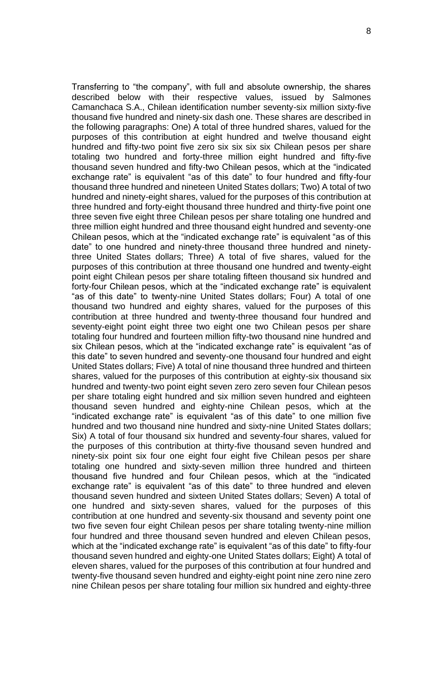Transferring to "the company", with full and absolute ownership, the shares described below with their respective values, issued by Salmones Camanchaca S.A., Chilean identification number seventy-six million sixty-five thousand five hundred and ninety-six dash one. These shares are described in the following paragraphs: One) A total of three hundred shares, valued for the purposes of this contribution at eight hundred and twelve thousand eight hundred and fifty-two point five zero six six six six Chilean pesos per share totaling two hundred and forty-three million eight hundred and fifty-five thousand seven hundred and fifty-two Chilean pesos, which at the "indicated exchange rate" is equivalent "as of this date" to four hundred and fifty-four thousand three hundred and nineteen United States dollars; Two) A total of two hundred and ninety-eight shares, valued for the purposes of this contribution at three hundred and forty-eight thousand three hundred and thirty-five point one three seven five eight three Chilean pesos per share totaling one hundred and three million eight hundred and three thousand eight hundred and seventy-one Chilean pesos, which at the "indicated exchange rate" is equivalent "as of this date" to one hundred and ninety-three thousand three hundred and ninetythree United States dollars; Three) A total of five shares, valued for the purposes of this contribution at three thousand one hundred and twenty-eight point eight Chilean pesos per share totaling fifteen thousand six hundred and forty-four Chilean pesos, which at the "indicated exchange rate" is equivalent "as of this date" to twenty-nine United States dollars; Four) A total of one thousand two hundred and eighty shares, valued for the purposes of this contribution at three hundred and twenty-three thousand four hundred and seventy-eight point eight three two eight one two Chilean pesos per share totaling four hundred and fourteen million fifty-two thousand nine hundred and six Chilean pesos, which at the "indicated exchange rate" is equivalent "as of this date" to seven hundred and seventy-one thousand four hundred and eight United States dollars; Five) A total of nine thousand three hundred and thirteen shares, valued for the purposes of this contribution at eighty-six thousand six hundred and twenty-two point eight seven zero zero seven four Chilean pesos per share totaling eight hundred and six million seven hundred and eighteen thousand seven hundred and eighty-nine Chilean pesos, which at the "indicated exchange rate" is equivalent "as of this date" to one million five hundred and two thousand nine hundred and sixty-nine United States dollars; Six) A total of four thousand six hundred and seventy-four shares, valued for the purposes of this contribution at thirty-five thousand seven hundred and ninety-six point six four one eight four eight five Chilean pesos per share totaling one hundred and sixty-seven million three hundred and thirteen thousand five hundred and four Chilean pesos, which at the "indicated exchange rate" is equivalent "as of this date" to three hundred and eleven thousand seven hundred and sixteen United States dollars; Seven) A total of one hundred and sixty-seven shares, valued for the purposes of this contribution at one hundred and seventy-six thousand and seventy point one two five seven four eight Chilean pesos per share totaling twenty-nine million four hundred and three thousand seven hundred and eleven Chilean pesos, which at the "indicated exchange rate" is equivalent "as of this date" to fifty-four thousand seven hundred and eighty-one United States dollars; Eight) A total of eleven shares, valued for the purposes of this contribution at four hundred and twenty-five thousand seven hundred and eighty-eight point nine zero nine zero nine Chilean pesos per share totaling four million six hundred and eighty-three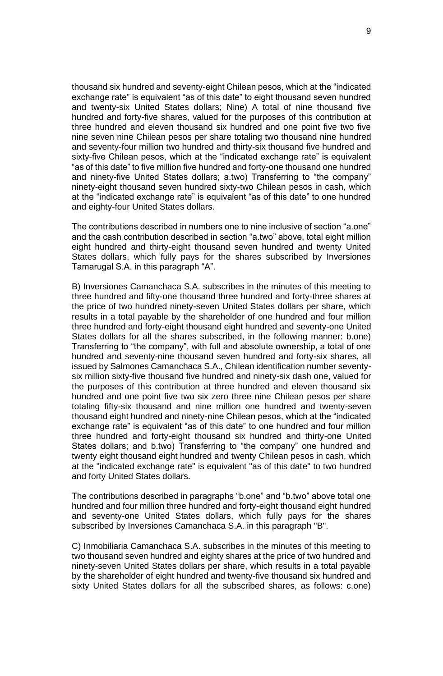thousand six hundred and seventy-eight Chilean pesos, which at the "indicated exchange rate" is equivalent "as of this date" to eight thousand seven hundred and twenty-six United States dollars; Nine) A total of nine thousand five hundred and forty-five shares, valued for the purposes of this contribution at three hundred and eleven thousand six hundred and one point five two five nine seven nine Chilean pesos per share totaling two thousand nine hundred and seventy-four million two hundred and thirty-six thousand five hundred and sixty-five Chilean pesos, which at the "indicated exchange rate" is equivalent "as of this date" to five million five hundred and forty-one thousand one hundred and ninety-five United States dollars; a.two) Transferring to "the company" ninety-eight thousand seven hundred sixty-two Chilean pesos in cash, which at the "indicated exchange rate" is equivalent "as of this date" to one hundred and eighty-four United States dollars.

The contributions described in numbers one to nine inclusive of section "a.one" and the cash contribution described in section "a.two" above, total eight million eight hundred and thirty-eight thousand seven hundred and twenty United States dollars, which fully pays for the shares subscribed by Inversiones Tamarugal S.A. in this paragraph "A".

B) Inversiones Camanchaca S.A. subscribes in the minutes of this meeting to three hundred and fifty-one thousand three hundred and forty-three shares at the price of two hundred ninety-seven United States dollars per share, which results in a total payable by the shareholder of one hundred and four million three hundred and forty-eight thousand eight hundred and seventy-one United States dollars for all the shares subscribed, in the following manner: b.one) Transferring to "the company", with full and absolute ownership, a total of one hundred and seventy-nine thousand seven hundred and forty-six shares, all issued by Salmones Camanchaca S.A., Chilean identification number seventysix million sixty-five thousand five hundred and ninety-six dash one, valued for the purposes of this contribution at three hundred and eleven thousand six hundred and one point five two six zero three nine Chilean pesos per share totaling fifty-six thousand and nine million one hundred and twenty-seven thousand eight hundred and ninety-nine Chilean pesos, which at the "indicated exchange rate" is equivalent "as of this date" to one hundred and four million three hundred and forty-eight thousand six hundred and thirty-one United States dollars; and b.two) Transferring to "the company" one hundred and twenty eight thousand eight hundred and twenty Chilean pesos in cash, which at the "indicated exchange rate" is equivalent "as of this date" to two hundred and forty United States dollars.

The contributions described in paragraphs "b.one" and "b.two" above total one hundred and four million three hundred and forty-eight thousand eight hundred and seventy-one United States dollars, which fully pays for the shares subscribed by Inversiones Camanchaca S.A. in this paragraph "B".

C) Inmobiliaria Camanchaca S.A. subscribes in the minutes of this meeting to two thousand seven hundred and eighty shares at the price of two hundred and ninety-seven United States dollars per share, which results in a total payable by the shareholder of eight hundred and twenty-five thousand six hundred and sixty United States dollars for all the subscribed shares, as follows: c.one)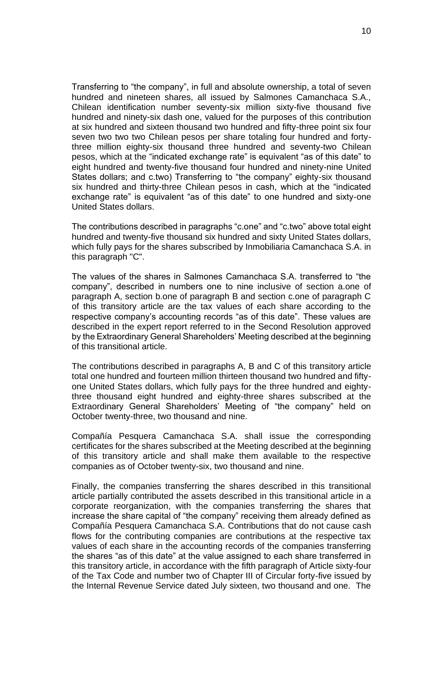Transferring to "the company", in full and absolute ownership, a total of seven hundred and nineteen shares, all issued by Salmones Camanchaca S.A., Chilean identification number seventy-six million sixty-five thousand five hundred and ninety-six dash one, valued for the purposes of this contribution at six hundred and sixteen thousand two hundred and fifty-three point six four seven two two two Chilean pesos per share totaling four hundred and fortythree million eighty-six thousand three hundred and seventy-two Chilean pesos, which at the "indicated exchange rate" is equivalent "as of this date" to eight hundred and twenty-five thousand four hundred and ninety-nine United States dollars; and c.two) Transferring to "the company" eighty-six thousand six hundred and thirty-three Chilean pesos in cash, which at the "indicated exchange rate" is equivalent "as of this date" to one hundred and sixty-one United States dollars.

The contributions described in paragraphs "c.one" and "c.two" above total eight hundred and twenty-five thousand six hundred and sixty United States dollars, which fully pays for the shares subscribed by Inmobiliaria Camanchaca S.A. in this paragraph "C".

The values of the shares in Salmones Camanchaca S.A. transferred to "the company", described in numbers one to nine inclusive of section a.one of paragraph A, section b.one of paragraph B and section c.one of paragraph C of this transitory article are the tax values of each share according to the respective company's accounting records "as of this date". These values are described in the expert report referred to in the Second Resolution approved by the Extraordinary General Shareholders' Meeting described at the beginning of this transitional article.

The contributions described in paragraphs A, B and C of this transitory article total one hundred and fourteen million thirteen thousand two hundred and fiftyone United States dollars, which fully pays for the three hundred and eightythree thousand eight hundred and eighty-three shares subscribed at the Extraordinary General Shareholders' Meeting of "the company" held on October twenty-three, two thousand and nine.

Compañía Pesquera Camanchaca S.A. shall issue the corresponding certificates for the shares subscribed at the Meeting described at the beginning of this transitory article and shall make them available to the respective companies as of October twenty-six, two thousand and nine.

Finally, the companies transferring the shares described in this transitional article partially contributed the assets described in this transitional article in a corporate reorganization, with the companies transferring the shares that increase the share capital of "the company" receiving them already defined as Compañía Pesquera Camanchaca S.A. Contributions that do not cause cash flows for the contributing companies are contributions at the respective tax values of each share in the accounting records of the companies transferring the shares "as of this date" at the value assigned to each share transferred in this transitory article, in accordance with the fifth paragraph of Article sixty-four of the Tax Code and number two of Chapter III of Circular forty-five issued by the Internal Revenue Service dated July sixteen, two thousand and one. The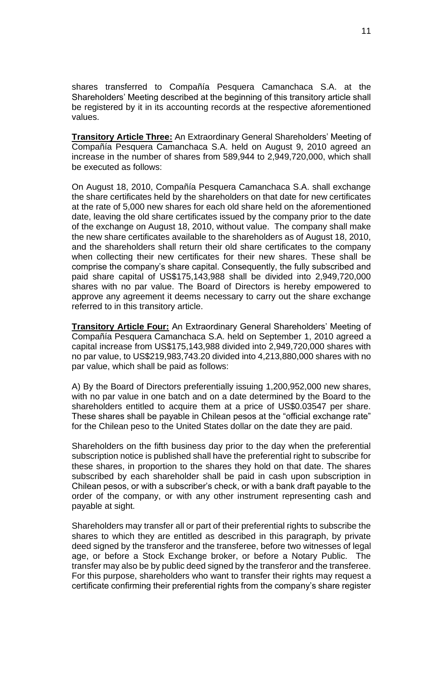shares transferred to Compañía Pesquera Camanchaca S.A. at the Shareholders' Meeting described at the beginning of this transitory article shall be registered by it in its accounting records at the respective aforementioned values.

**Transitory Article Three:** An Extraordinary General Shareholders' Meeting of Compañía Pesquera Camanchaca S.A. held on August 9, 2010 agreed an increase in the number of shares from 589,944 to 2,949,720,000, which shall be executed as follows:

On August 18, 2010, Compañía Pesquera Camanchaca S.A. shall exchange the share certificates held by the shareholders on that date for new certificates at the rate of 5,000 new shares for each old share held on the aforementioned date, leaving the old share certificates issued by the company prior to the date of the exchange on August 18, 2010, without value. The company shall make the new share certificates available to the shareholders as of August 18, 2010, and the shareholders shall return their old share certificates to the company when collecting their new certificates for their new shares. These shall be comprise the company's share capital. Consequently, the fully subscribed and paid share capital of US\$175,143,988 shall be divided into 2,949,720,000 shares with no par value. The Board of Directors is hereby empowered to approve any agreement it deems necessary to carry out the share exchange referred to in this transitory article.

**Transitory Article Four:** An Extraordinary General Shareholders' Meeting of Compañía Pesquera Camanchaca S.A. held on September 1, 2010 agreed a capital increase from US\$175,143,988 divided into 2,949,720,000 shares with no par value, to US\$219,983,743.20 divided into 4,213,880,000 shares with no par value, which shall be paid as follows:

A) By the Board of Directors preferentially issuing 1,200,952,000 new shares, with no par value in one batch and on a date determined by the Board to the shareholders entitled to acquire them at a price of US\$0.03547 per share. These shares shall be payable in Chilean pesos at the "official exchange rate" for the Chilean peso to the United States dollar on the date they are paid.

Shareholders on the fifth business day prior to the day when the preferential subscription notice is published shall have the preferential right to subscribe for these shares, in proportion to the shares they hold on that date. The shares subscribed by each shareholder shall be paid in cash upon subscription in Chilean pesos, or with a subscriber's check, or with a bank draft payable to the order of the company, or with any other instrument representing cash and payable at sight.

Shareholders may transfer all or part of their preferential rights to subscribe the shares to which they are entitled as described in this paragraph, by private deed signed by the transferor and the transferee, before two witnesses of legal age, or before a Stock Exchange broker, or before a Notary Public. The transfer may also be by public deed signed by the transferor and the transferee. For this purpose, shareholders who want to transfer their rights may request a certificate confirming their preferential rights from the company's share register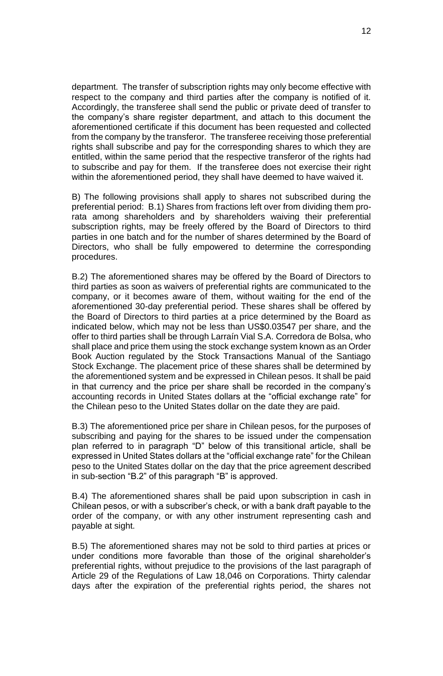department. The transfer of subscription rights may only become effective with respect to the company and third parties after the company is notified of it. Accordingly, the transferee shall send the public or private deed of transfer to the company's share register department, and attach to this document the aforementioned certificate if this document has been requested and collected from the company by the transferor. The transferee receiving those preferential rights shall subscribe and pay for the corresponding shares to which they are entitled, within the same period that the respective transferor of the rights had to subscribe and pay for them. If the transferee does not exercise their right within the aforementioned period, they shall have deemed to have waived it.

B) The following provisions shall apply to shares not subscribed during the preferential period: B.1) Shares from fractions left over from dividing them prorata among shareholders and by shareholders waiving their preferential subscription rights, may be freely offered by the Board of Directors to third parties in one batch and for the number of shares determined by the Board of Directors, who shall be fully empowered to determine the corresponding procedures.

B.2) The aforementioned shares may be offered by the Board of Directors to third parties as soon as waivers of preferential rights are communicated to the company, or it becomes aware of them, without waiting for the end of the aforementioned 30-day preferential period. These shares shall be offered by the Board of Directors to third parties at a price determined by the Board as indicated below, which may not be less than US\$0.03547 per share, and the offer to third parties shall be through Larraín Vial S.A. Corredora de Bolsa, who shall place and price them using the stock exchange system known as an Order Book Auction regulated by the Stock Transactions Manual of the Santiago Stock Exchange. The placement price of these shares shall be determined by the aforementioned system and be expressed in Chilean pesos. It shall be paid in that currency and the price per share shall be recorded in the company's accounting records in United States dollars at the "official exchange rate" for the Chilean peso to the United States dollar on the date they are paid.

B.3) The aforementioned price per share in Chilean pesos, for the purposes of subscribing and paying for the shares to be issued under the compensation plan referred to in paragraph "D" below of this transitional article, shall be expressed in United States dollars at the "official exchange rate" for the Chilean peso to the United States dollar on the day that the price agreement described in sub-section "B.2" of this paragraph "B" is approved.

B.4) The aforementioned shares shall be paid upon subscription in cash in Chilean pesos, or with a subscriber's check, or with a bank draft payable to the order of the company, or with any other instrument representing cash and payable at sight.

B.5) The aforementioned shares may not be sold to third parties at prices or under conditions more favorable than those of the original shareholder's preferential rights, without prejudice to the provisions of the last paragraph of Article 29 of the Regulations of Law 18,046 on Corporations. Thirty calendar days after the expiration of the preferential rights period, the shares not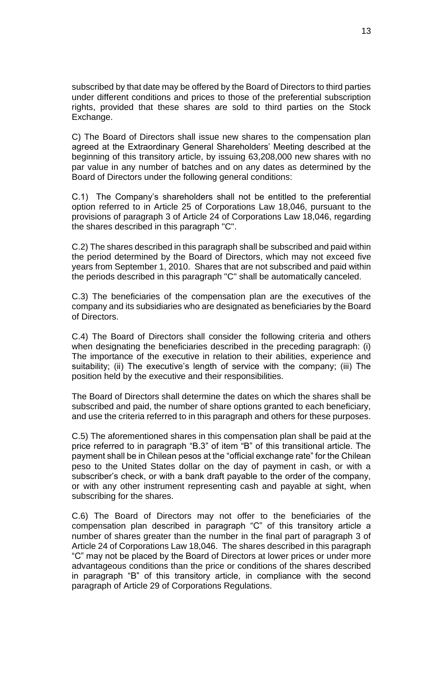subscribed by that date may be offered by the Board of Directors to third parties under different conditions and prices to those of the preferential subscription rights, provided that these shares are sold to third parties on the Stock Exchange.

C) The Board of Directors shall issue new shares to the compensation plan agreed at the Extraordinary General Shareholders' Meeting described at the beginning of this transitory article, by issuing 63,208,000 new shares with no par value in any number of batches and on any dates as determined by the Board of Directors under the following general conditions:

C.1) The Company's shareholders shall not be entitled to the preferential option referred to in Article 25 of Corporations Law 18,046, pursuant to the provisions of paragraph 3 of Article 24 of Corporations Law 18,046, regarding the shares described in this paragraph "C".

C.2) The shares described in this paragraph shall be subscribed and paid within the period determined by the Board of Directors, which may not exceed five years from September 1, 2010. Shares that are not subscribed and paid within the periods described in this paragraph "C" shall be automatically canceled.

C.3) The beneficiaries of the compensation plan are the executives of the company and its subsidiaries who are designated as beneficiaries by the Board of Directors.

C.4) The Board of Directors shall consider the following criteria and others when designating the beneficiaries described in the preceding paragraph: (i) The importance of the executive in relation to their abilities, experience and suitability; (ii) The executive's length of service with the company; (iii) The position held by the executive and their responsibilities.

The Board of Directors shall determine the dates on which the shares shall be subscribed and paid, the number of share options granted to each beneficiary, and use the criteria referred to in this paragraph and others for these purposes.

C.5) The aforementioned shares in this compensation plan shall be paid at the price referred to in paragraph "B.3" of item "B" of this transitional article. The payment shall be in Chilean pesos at the "official exchange rate" for the Chilean peso to the United States dollar on the day of payment in cash, or with a subscriber's check, or with a bank draft payable to the order of the company, or with any other instrument representing cash and payable at sight, when subscribing for the shares.

C.6) The Board of Directors may not offer to the beneficiaries of the compensation plan described in paragraph "C" of this transitory article a number of shares greater than the number in the final part of paragraph 3 of Article 24 of Corporations Law 18,046. The shares described in this paragraph "C" may not be placed by the Board of Directors at lower prices or under more advantageous conditions than the price or conditions of the shares described in paragraph "B" of this transitory article, in compliance with the second paragraph of Article 29 of Corporations Regulations.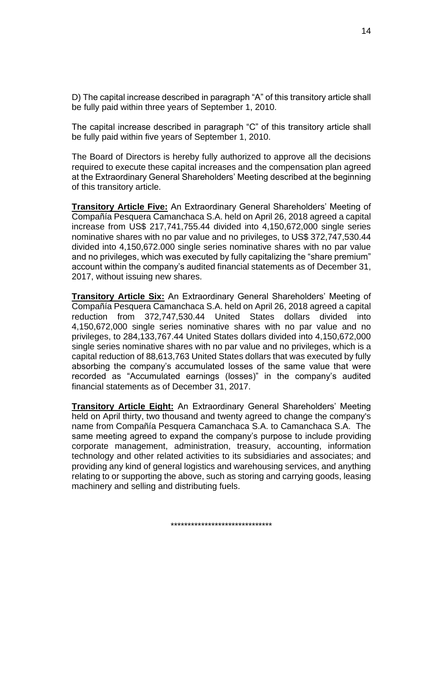D) The capital increase described in paragraph "A" of this transitory article shall be fully paid within three years of September 1, 2010.

The capital increase described in paragraph "C" of this transitory article shall be fully paid within five years of September 1, 2010.

The Board of Directors is hereby fully authorized to approve all the decisions required to execute these capital increases and the compensation plan agreed at the Extraordinary General Shareholders' Meeting described at the beginning of this transitory article.

**Transitory Article Five:** An Extraordinary General Shareholders' Meeting of Compañía Pesquera Camanchaca S.A. held on April 26, 2018 agreed a capital increase from US\$ 217,741,755.44 divided into 4,150,672,000 single series nominative shares with no par value and no privileges, to US\$ 372,747,530.44 divided into 4,150,672.000 single series nominative shares with no par value and no privileges, which was executed by fully capitalizing the "share premium" account within the company's audited financial statements as of December 31, 2017, without issuing new shares.

**Transitory Article Six:** An Extraordinary General Shareholders' Meeting of Compañía Pesquera Camanchaca S.A. held on April 26, 2018 agreed a capital reduction from 372,747,530.44 United States dollars divided into 4,150,672,000 single series nominative shares with no par value and no privileges, to 284,133,767.44 United States dollars divided into 4,150,672,000 single series nominative shares with no par value and no privileges, which is a capital reduction of 88,613,763 United States dollars that was executed by fully absorbing the company's accumulated losses of the same value that were recorded as "Accumulated earnings (losses)" in the company's audited financial statements as of December 31, 2017.

**Transitory Article Eight:** An Extraordinary General Shareholders' Meeting held on April thirty, two thousand and twenty agreed to change the company's name from Compañía Pesquera Camanchaca S.A. to Camanchaca S.A. The same meeting agreed to expand the company's purpose to include providing corporate management, administration, treasury, accounting, information technology and other related activities to its subsidiaries and associates; and providing any kind of general logistics and warehousing services, and anything relating to or supporting the above, such as storing and carrying goods, leasing machinery and selling and distributing fuels.

\*\*\*\*\*\*\*\*\*\*\*\*\*\*\*\*\*\*\*\*\*\*\*\*\*\*\*\*\*\*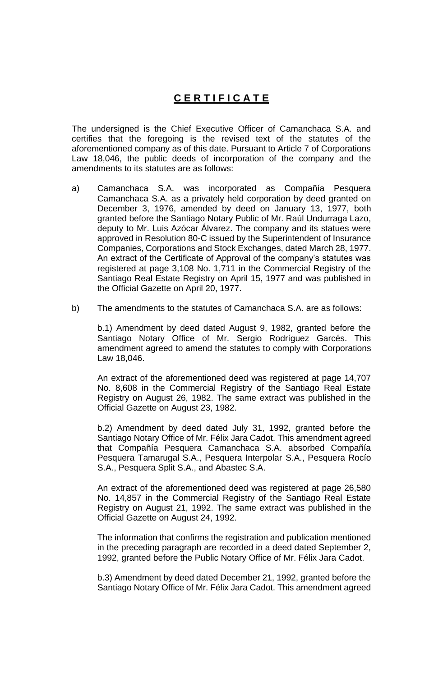# **C E R T I F I C A T E**

The undersigned is the Chief Executive Officer of Camanchaca S.A. and certifies that the foregoing is the revised text of the statutes of the aforementioned company as of this date. Pursuant to Article 7 of Corporations Law 18,046, the public deeds of incorporation of the company and the amendments to its statutes are as follows:

- a) Camanchaca S.A. was incorporated as Compañía Pesquera Camanchaca S.A. as a privately held corporation by deed granted on December 3, 1976, amended by deed on January 13, 1977, both granted before the Santiago Notary Public of Mr. Raúl Undurraga Lazo, deputy to Mr. Luis Azócar Álvarez. The company and its statues were approved in Resolution 80-C issued by the Superintendent of Insurance Companies, Corporations and Stock Exchanges, dated March 28, 1977. An extract of the Certificate of Approval of the company's statutes was registered at page 3,108 No. 1,711 in the Commercial Registry of the Santiago Real Estate Registry on April 15, 1977 and was published in the Official Gazette on April 20, 1977.
- b) The amendments to the statutes of Camanchaca S.A. are as follows:

b.1) Amendment by deed dated August 9, 1982, granted before the Santiago Notary Office of Mr. Sergio Rodríguez Garcés. This amendment agreed to amend the statutes to comply with Corporations Law 18,046.

An extract of the aforementioned deed was registered at page 14,707 No. 8,608 in the Commercial Registry of the Santiago Real Estate Registry on August 26, 1982. The same extract was published in the Official Gazette on August 23, 1982.

b.2) Amendment by deed dated July 31, 1992, granted before the Santiago Notary Office of Mr. Félix Jara Cadot. This amendment agreed that Compañía Pesquera Camanchaca S.A. absorbed Compañía Pesquera Tamarugal S.A., Pesquera Interpolar S.A., Pesquera Rocío S.A., Pesquera Split S.A., and Abastec S.A.

An extract of the aforementioned deed was registered at page 26,580 No. 14,857 in the Commercial Registry of the Santiago Real Estate Registry on August 21, 1992. The same extract was published in the Official Gazette on August 24, 1992.

The information that confirms the registration and publication mentioned in the preceding paragraph are recorded in a deed dated September 2, 1992, granted before the Public Notary Office of Mr. Félix Jara Cadot.

b.3) Amendment by deed dated December 21, 1992, granted before the Santiago Notary Office of Mr. Félix Jara Cadot. This amendment agreed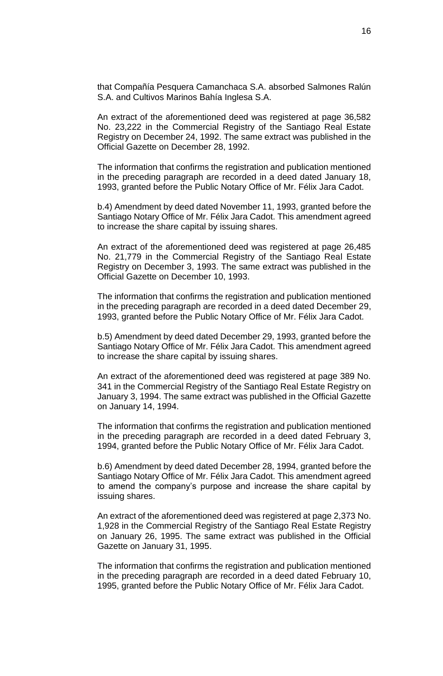that Compañía Pesquera Camanchaca S.A. absorbed Salmones Ralún S.A. and Cultivos Marinos Bahía Inglesa S.A.

An extract of the aforementioned deed was registered at page 36,582 No. 23,222 in the Commercial Registry of the Santiago Real Estate Registry on December 24, 1992. The same extract was published in the Official Gazette on December 28, 1992.

The information that confirms the registration and publication mentioned in the preceding paragraph are recorded in a deed dated January 18, 1993, granted before the Public Notary Office of Mr. Félix Jara Cadot.

b.4) Amendment by deed dated November 11, 1993, granted before the Santiago Notary Office of Mr. Félix Jara Cadot. This amendment agreed to increase the share capital by issuing shares.

An extract of the aforementioned deed was registered at page 26,485 No. 21,779 in the Commercial Registry of the Santiago Real Estate Registry on December 3, 1993. The same extract was published in the Official Gazette on December 10, 1993.

The information that confirms the registration and publication mentioned in the preceding paragraph are recorded in a deed dated December 29, 1993, granted before the Public Notary Office of Mr. Félix Jara Cadot.

b.5) Amendment by deed dated December 29, 1993, granted before the Santiago Notary Office of Mr. Félix Jara Cadot. This amendment agreed to increase the share capital by issuing shares.

An extract of the aforementioned deed was registered at page 389 No. 341 in the Commercial Registry of the Santiago Real Estate Registry on January 3, 1994. The same extract was published in the Official Gazette on January 14, 1994.

The information that confirms the registration and publication mentioned in the preceding paragraph are recorded in a deed dated February 3, 1994, granted before the Public Notary Office of Mr. Félix Jara Cadot.

b.6) Amendment by deed dated December 28, 1994, granted before the Santiago Notary Office of Mr. Félix Jara Cadot. This amendment agreed to amend the company's purpose and increase the share capital by issuing shares.

An extract of the aforementioned deed was registered at page 2,373 No. 1,928 in the Commercial Registry of the Santiago Real Estate Registry on January 26, 1995. The same extract was published in the Official Gazette on January 31, 1995.

The information that confirms the registration and publication mentioned in the preceding paragraph are recorded in a deed dated February 10, 1995, granted before the Public Notary Office of Mr. Félix Jara Cadot.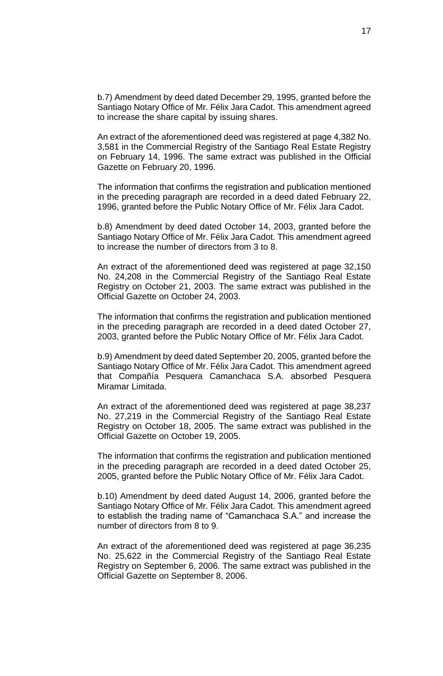b.7) Amendment by deed dated December 29, 1995, granted before the Santiago Notary Office of Mr. Félix Jara Cadot. This amendment agreed to increase the share capital by issuing shares.

An extract of the aforementioned deed was registered at page 4,382 No. 3,581 in the Commercial Registry of the Santiago Real Estate Registry on February 14, 1996. The same extract was published in the Official Gazette on February 20, 1996.

The information that confirms the registration and publication mentioned in the preceding paragraph are recorded in a deed dated February 22, 1996, granted before the Public Notary Office of Mr. Félix Jara Cadot.

b.8) Amendment by deed dated October 14, 2003, granted before the Santiago Notary Office of Mr. Félix Jara Cadot. This amendment agreed to increase the number of directors from 3 to 8.

An extract of the aforementioned deed was registered at page 32,150 No. 24,208 in the Commercial Registry of the Santiago Real Estate Registry on October 21, 2003. The same extract was published in the Official Gazette on October 24, 2003.

The information that confirms the registration and publication mentioned in the preceding paragraph are recorded in a deed dated October 27, 2003, granted before the Public Notary Office of Mr. Félix Jara Cadot.

b.9) Amendment by deed dated September 20, 2005, granted before the Santiago Notary Office of Mr. Félix Jara Cadot. This amendment agreed that Compañía Pesquera Camanchaca S.A. absorbed Pesquera Miramar Limitada.

An extract of the aforementioned deed was registered at page 38,237 No. 27,219 in the Commercial Registry of the Santiago Real Estate Registry on October 18, 2005. The same extract was published in the Official Gazette on October 19, 2005.

The information that confirms the registration and publication mentioned in the preceding paragraph are recorded in a deed dated October 25, 2005, granted before the Public Notary Office of Mr. Félix Jara Cadot.

b.10) Amendment by deed dated August 14, 2006, granted before the Santiago Notary Office of Mr. Félix Jara Cadot. This amendment agreed to establish the trading name of "Camanchaca S.A." and increase the number of directors from 8 to 9.

An extract of the aforementioned deed was registered at page 36,235 No. 25,622 in the Commercial Registry of the Santiago Real Estate Registry on September 6, 2006. The same extract was published in the Official Gazette on September 8, 2006.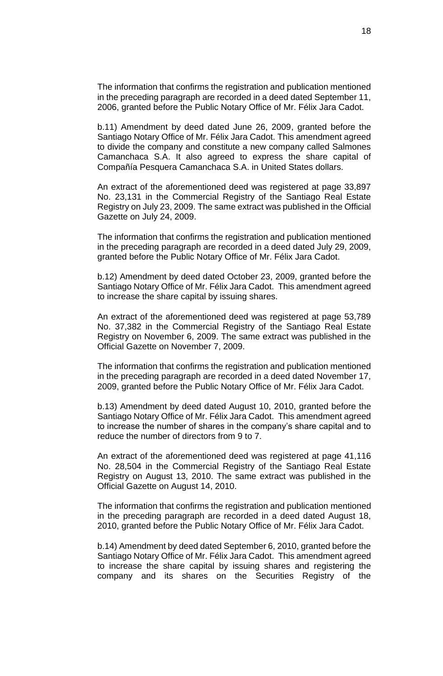The information that confirms the registration and publication mentioned in the preceding paragraph are recorded in a deed dated September 11, 2006, granted before the Public Notary Office of Mr. Félix Jara Cadot.

b.11) Amendment by deed dated June 26, 2009, granted before the Santiago Notary Office of Mr. Félix Jara Cadot. This amendment agreed to divide the company and constitute a new company called Salmones Camanchaca S.A. It also agreed to express the share capital of Compañía Pesquera Camanchaca S.A. in United States dollars.

An extract of the aforementioned deed was registered at page 33,897 No. 23,131 in the Commercial Registry of the Santiago Real Estate Registry on July 23, 2009. The same extract was published in the Official Gazette on July 24, 2009.

The information that confirms the registration and publication mentioned in the preceding paragraph are recorded in a deed dated July 29, 2009, granted before the Public Notary Office of Mr. Félix Jara Cadot.

b.12) Amendment by deed dated October 23, 2009, granted before the Santiago Notary Office of Mr. Félix Jara Cadot. This amendment agreed to increase the share capital by issuing shares.

An extract of the aforementioned deed was registered at page 53,789 No. 37,382 in the Commercial Registry of the Santiago Real Estate Registry on November 6, 2009. The same extract was published in the Official Gazette on November 7, 2009.

The information that confirms the registration and publication mentioned in the preceding paragraph are recorded in a deed dated November 17, 2009, granted before the Public Notary Office of Mr. Félix Jara Cadot.

b.13) Amendment by deed dated August 10, 2010, granted before the Santiago Notary Office of Mr. Félix Jara Cadot. This amendment agreed to increase the number of shares in the company's share capital and to reduce the number of directors from 9 to 7.

An extract of the aforementioned deed was registered at page 41,116 No. 28,504 in the Commercial Registry of the Santiago Real Estate Registry on August 13, 2010. The same extract was published in the Official Gazette on August 14, 2010.

The information that confirms the registration and publication mentioned in the preceding paragraph are recorded in a deed dated August 18, 2010, granted before the Public Notary Office of Mr. Félix Jara Cadot.

b.14) Amendment by deed dated September 6, 2010, granted before the Santiago Notary Office of Mr. Félix Jara Cadot. This amendment agreed to increase the share capital by issuing shares and registering the company and its shares on the Securities Registry of the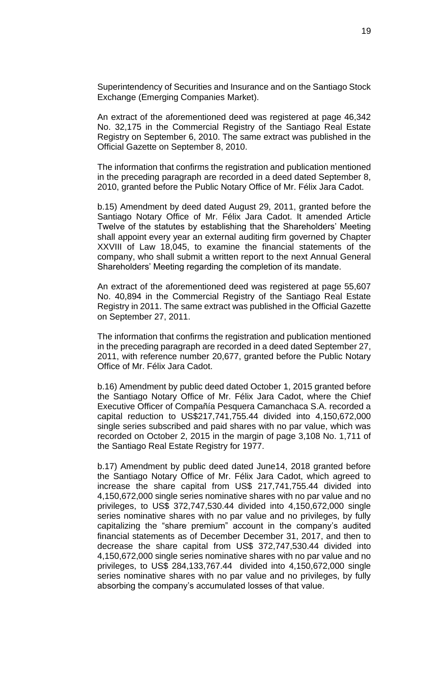Superintendency of Securities and Insurance and on the Santiago Stock Exchange (Emerging Companies Market).

An extract of the aforementioned deed was registered at page 46,342 No. 32,175 in the Commercial Registry of the Santiago Real Estate Registry on September 6, 2010. The same extract was published in the Official Gazette on September 8, 2010.

The information that confirms the registration and publication mentioned in the preceding paragraph are recorded in a deed dated September 8, 2010, granted before the Public Notary Office of Mr. Félix Jara Cadot.

b.15) Amendment by deed dated August 29, 2011, granted before the Santiago Notary Office of Mr. Félix Jara Cadot. It amended Article Twelve of the statutes by establishing that the Shareholders' Meeting shall appoint every year an external auditing firm governed by Chapter XXVIII of Law 18,045, to examine the financial statements of the company, who shall submit a written report to the next Annual General Shareholders' Meeting regarding the completion of its mandate.

An extract of the aforementioned deed was registered at page 55,607 No. 40,894 in the Commercial Registry of the Santiago Real Estate Registry in 2011. The same extract was published in the Official Gazette on September 27, 2011.

The information that confirms the registration and publication mentioned in the preceding paragraph are recorded in a deed dated September 27, 2011, with reference number 20,677, granted before the Public Notary Office of Mr. Félix Jara Cadot.

b.16) Amendment by public deed dated October 1, 2015 granted before the Santiago Notary Office of Mr. Félix Jara Cadot, where the Chief Executive Officer of Compañía Pesquera Camanchaca S.A. recorded a capital reduction to US\$217,741,755.44 divided into 4,150,672,000 single series subscribed and paid shares with no par value, which was recorded on October 2, 2015 in the margin of page 3,108 No. 1,711 of the Santiago Real Estate Registry for 1977.

b.17) Amendment by public deed dated June14, 2018 granted before the Santiago Notary Office of Mr. Félix Jara Cadot, which agreed to increase the share capital from US\$ 217,741,755.44 divided into 4,150,672,000 single series nominative shares with no par value and no privileges, to US\$ 372,747,530.44 divided into 4,150,672,000 single series nominative shares with no par value and no privileges, by fully capitalizing the "share premium" account in the company's audited financial statements as of December December 31, 2017, and then to decrease the share capital from US\$ 372,747,530.44 divided into 4,150,672,000 single series nominative shares with no par value and no privileges, to US\$ 284,133,767.44 divided into 4,150,672,000 single series nominative shares with no par value and no privileges, by fully absorbing the company's accumulated losses of that value.